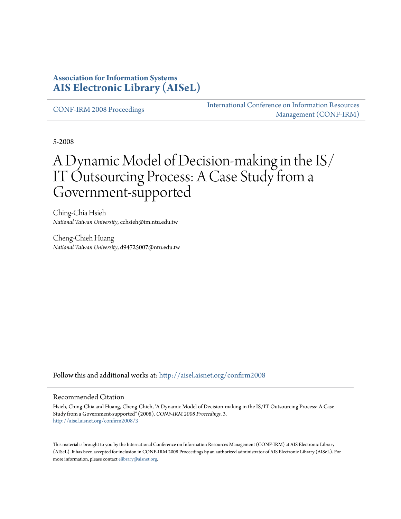#### **Association for Information Systems [AIS Electronic Library \(AISeL\)](http://aisel.aisnet.org?utm_source=aisel.aisnet.org%2Fconfirm2008%2F3&utm_medium=PDF&utm_campaign=PDFCoverPages)**

[CONF-IRM 2008 Proceedings](http://aisel.aisnet.org/confirm2008?utm_source=aisel.aisnet.org%2Fconfirm2008%2F3&utm_medium=PDF&utm_campaign=PDFCoverPages)

[International Conference on Information Resources](http://aisel.aisnet.org/conf-irm?utm_source=aisel.aisnet.org%2Fconfirm2008%2F3&utm_medium=PDF&utm_campaign=PDFCoverPages) [Management \(CONF-IRM\)](http://aisel.aisnet.org/conf-irm?utm_source=aisel.aisnet.org%2Fconfirm2008%2F3&utm_medium=PDF&utm_campaign=PDFCoverPages)

5-2008

# A Dynamic Model of Decision-making in the IS/ IT Outsourcing Process: A Case Study from a Government-supported

Ching-Chia Hsieh *National Taiwan University*, cchsieh@im.ntu.edu.tw

Cheng-Chieh Huang *National Taiwan University*, d94725007@ntu.edu.tw

Follow this and additional works at: [http://aisel.aisnet.org/confirm2008](http://aisel.aisnet.org/confirm2008?utm_source=aisel.aisnet.org%2Fconfirm2008%2F3&utm_medium=PDF&utm_campaign=PDFCoverPages)

#### Recommended Citation

Hsieh, Ching-Chia and Huang, Cheng-Chieh, "A Dynamic Model of Decision-making in the IS/IT Outsourcing Process: A Case Study from a Government-supported" (2008). *CONF-IRM 2008 Proceedings*. 3. [http://aisel.aisnet.org/confirm2008/3](http://aisel.aisnet.org/confirm2008/3?utm_source=aisel.aisnet.org%2Fconfirm2008%2F3&utm_medium=PDF&utm_campaign=PDFCoverPages)

This material is brought to you by the International Conference on Information Resources Management (CONF-IRM) at AIS Electronic Library (AISeL). It has been accepted for inclusion in CONF-IRM 2008 Proceedings by an authorized administrator of AIS Electronic Library (AISeL). For more information, please contact [elibrary@aisnet.org.](mailto:elibrary@aisnet.org%3E)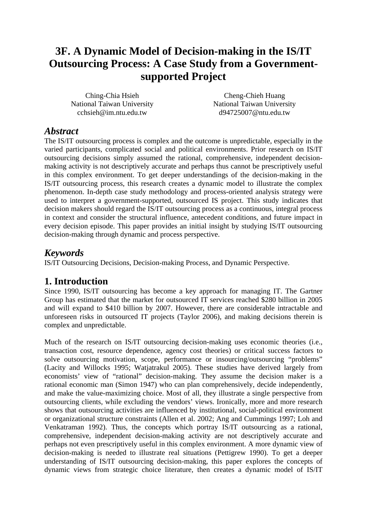## **3F. A Dynamic Model of Decision-making in the IS/IT Outsourcing Process: A Case Study from a Governmentsupported Project**

Ching-Chia Hsieh National Taiwan University cchsieh@im.ntu.edu.tw

Cheng-Chieh Huang National Taiwan University d94725007@ntu.edu.tw

#### *Abstract*

The IS/IT outsourcing process is complex and the outcome is unpredictable, especially in the varied participants, complicated social and political environments. Prior research on IS/IT outsourcing decisions simply assumed the rational, comprehensive, independent decisionmaking activity is not descriptively accurate and perhaps thus cannot be prescriptively useful in this complex environment. To get deeper understandings of the decision-making in the IS/IT outsourcing process, this research creates a dynamic model to illustrate the complex phenomenon. In-depth case study methodology and process-oriented analysis strategy were used to interpret a government-supported, outsourced IS project. This study indicates that decision makers should regard the IS/IT outsourcing process as a continuous, integral process in context and consider the structural influence, antecedent conditions, and future impact in every decision episode. This paper provides an initial insight by studying IS/IT outsourcing decision-making through dynamic and process perspective.

### *Keywords*

IS/IT Outsourcing Decisions, Decision-making Process, and Dynamic Perspective.

#### **1. Introduction**

Since 1990, IS/IT outsourcing has become a key approach for managing IT. The Gartner Group has estimated that the market for outsourced IT services reached \$280 billion in 2005 and will expand to \$410 billion by 2007. However, there are considerable intractable and unforeseen risks in outsourced IT projects (Taylor 2006), and making decisions therein is complex and unpredictable.

Much of the research on IS/IT outsourcing decision-making uses economic theories (i.e., transaction cost, resource dependence, agency cost theories) or critical success factors to solve outsourcing motivation, scope, performance or insourcing/outsourcing "problems" (Lacity and Willocks 1995; Watjatrakul 2005). These studies have derived largely from economists' view of "rational" decision-making. They assume the decision maker is a rational economic man (Simon 1947) who can plan comprehensively, decide independently, and make the value-maximizing choice. Most of all, they illustrate a single perspective from outsourcing clients, while excluding the vendors' views. Ironically, more and more research shows that outsourcing activities are influenced by institutional, social-political environment or organizational structure constraints (Allen et al. 2002; Ang and Cummings 1997; Loh and Venkatraman 1992). Thus, the concepts which portray IS/IT outsourcing as a rational, comprehensive, independent decision-making activity are not descriptively accurate and perhaps not even prescriptively useful in this complex environment. A more dynamic view of decision-making is needed to illustrate real situations (Pettigrew 1990). To get a deeper understanding of IS/IT outsourcing decision-making, this paper explores the concepts of dynamic views from strategic choice literature, then creates a dynamic model of IS/IT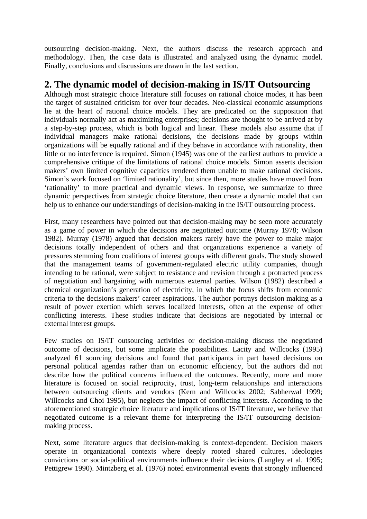outsourcing decision-making. Next, the authors discuss the research approach and methodology. Then, the case data is illustrated and analyzed using the dynamic model. Finally, conclusions and discussions are drawn in the last section.

#### **2. The dynamic model of decision-making in IS/IT Outsourcing**

Although most strategic choice literature still focuses on rational choice modes, it has been the target of sustained criticism for over four decades. Neo-classical economic assumptions lie at the heart of rational choice models. They are predicated on the supposition that individuals normally act as maximizing enterprises; decisions are thought to be arrived at by a step-by-step process, which is both logical and linear. These models also assume that if individual managers make rational decisions, the decisions made by groups within organizations will be equally rational and if they behave in accordance with rationality, then little or no interference is required. Simon (1945) was one of the earliest authors to provide a comprehensive critique of the limitations of rational choice models. Simon asserts decision makers' own limited cognitive capacities rendered them unable to make rational decisions. Simon's work focused on 'limited rationality', but since then, more studies have moved from 'rationality' to more practical and dynamic views. In response, we summarize to three dynamic perspectives from strategic choice literature, then create a dynamic model that can help us to enhance our understandings of decision-making in the IS/IT outsourcing process.

First, many researchers have pointed out that decision-making may be seen more accurately as a game of power in which the decisions are negotiated outcome (Murray 1978; Wilson 1982). Murray (1978) argued that decision makers rarely have the power to make major decisions totally independent of others and that organizations experience a variety of pressures stemming from coalitions of interest groups with different goals. The study showed that the management teams of government-regulated electric utility companies, though intending to be rational, were subject to resistance and revision through a protracted process of negotiation and bargaining with numerous external parties. Wilson (1982) described a chemical organization's generation of electricity, in which the focus shifts from economic criteria to the decisions makers' career aspirations. The author portrays decision making as a result of power exertion which serves localized interests, often at the expense of other conflicting interests. These studies indicate that decisions are negotiated by internal or external interest groups.

Few studies on IS/IT outsourcing activities or decision-making discuss the negotiated outcome of decisions, but some implicate the possibilities. Lacity and Willcocks (1995) analyzed 61 sourcing decisions and found that participants in part based decisions on personal political agendas rather than on economic efficiency, but the authors did not describe how the political concerns influenced the outcomes. Recently, more and more literature is focused on social reciprocity, trust, long-term relationships and interactions between outsourcing clients and vendors (Kern and Willcocks 2002; Sabherwal 1999; Willcocks and Choi 1995), but neglects the impact of conflicting interests. According to the aforementioned strategic choice literature and implications of IS/IT literature, we believe that negotiated outcome is a relevant theme for interpreting the IS/IT outsourcing decisionmaking process.

Next, some literature argues that decision-making is context-dependent. Decision makers operate in organizational contexts where deeply rooted shared cultures, ideologies convictions or social-political environments influence their decisions (Langley et al. 1995; Pettigrew 1990). Mintzberg et al. (1976) noted environmental events that strongly influenced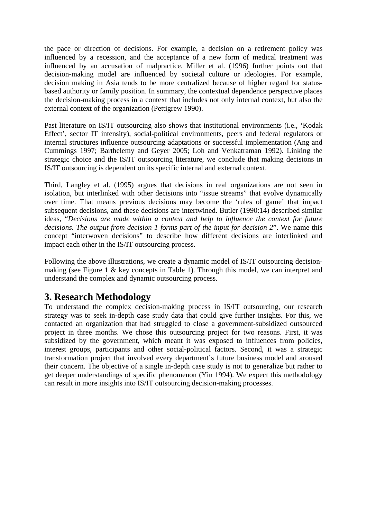the pace or direction of decisions. For example, a decision on a retirement policy was influenced by a recession, and the acceptance of a new form of medical treatment was influenced by an accusation of malpractice. Miller et al. (1996) further points out that decision-making model are influenced by societal culture or ideologies. For example, decision making in Asia tends to be more centralized because of higher regard for statusbased authority or family position. In summary, the contextual dependence perspective places the decision-making process in a context that includes not only internal context, but also the external context of the organization (Pettigrew 1990).

Past literature on IS/IT outsourcing also shows that institutional environments (i.e., 'Kodak Effect', sector IT intensity), social-political environments, peers and federal regulators or internal structures influence outsourcing adaptations or successful implementation (Ang and Cummings 1997; Barthelemy and Geyer 2005; Loh and Venkatraman 1992). Linking the strategic choice and the IS/IT outsourcing literature, we conclude that making decisions in IS/IT outsourcing is dependent on its specific internal and external context.

Third, Langley et al. (1995) argues that decisions in real organizations are not seen in isolation, but interlinked with other decisions into "issue streams" that evolve dynamically over time. That means previous decisions may become the 'rules of game' that impact subsequent decisions, and these decisions are intertwined. Butler (1990:14) described similar ideas, "*Decisions are made within a context and help to influence the context for future decisions. The output from decision 1 forms part of the input for decision 2*". We name this concept "interwoven decisions" to describe how different decisions are interlinked and impact each other in the IS/IT outsourcing process.

Following the above illustrations, we create a dynamic model of IS/IT outsourcing decisionmaking (see Figure 1 & key concepts in Table 1). Through this model, we can interpret and understand the complex and dynamic outsourcing process.

### **3. Research Methodology**

To understand the complex decision-making process in IS/IT outsourcing, our research strategy was to seek in-depth case study data that could give further insights. For this, we contacted an organization that had struggled to close a government-subsidized outsourced project in three months. We chose this outsourcing project for two reasons. First, it was subsidized by the government, which meant it was exposed to influences from policies, interest groups, participants and other social-political factors. Second, it was a strategic transformation project that involved every department's future business model and aroused their concern. The objective of a single in-depth case study is not to generalize but rather to get deeper understandings of specific phenomenon (Yin 1994). We expect this methodology can result in more insights into IS/IT outsourcing decision-making processes.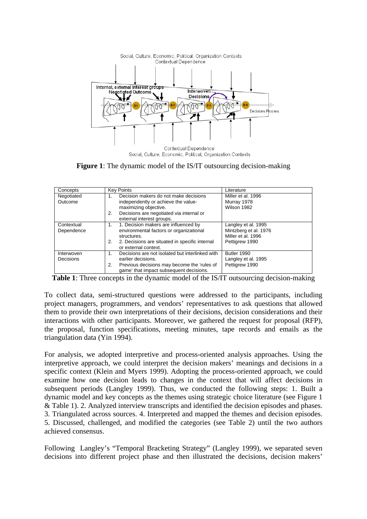

**Figure 1**: The dynamic model of the IS/IT outsourcing decision-making

| Concepts                 | <b>Key Points</b>                                                                                                                                                                          | Literature                                                                           |
|--------------------------|--------------------------------------------------------------------------------------------------------------------------------------------------------------------------------------------|--------------------------------------------------------------------------------------|
| Negotiated<br>Outcome    | Decision makers do not make decisions<br>1.<br>independently or achieve the value-<br>maximizing objective.<br>Decisions are negotiated via internal or<br>2.<br>external interest groups. | Miller et al. 1996<br>Murray 1978<br>Wilson 1982                                     |
| Contextual<br>Dependence | 1. Decision makers are influenced by<br>1.<br>environmental factors or organizational<br>structures.<br>2. Decisions are situated in specific internal<br>2.<br>or external context.       | Langley et al. 1995<br>Mintzberg et al. 1976<br>Miller et al. 1996<br>Pettigrew 1990 |
| Interwoven<br>Decisions  | Decisions are not isolated but interlinked with<br>1.<br>earlier decisions.<br>Previous decisions may become the 'rules of<br>2.<br>game' that impact subsequent decisions.                | Butler 1990<br>Langley et al. 1995<br>Pettigrew 1990                                 |

**Table 1**: Three concepts in the dynamic model of the IS/IT outsourcing decision-making

To collect data, semi-structured questions were addressed to the participants, including project managers, programmers, and vendors' representatives to ask questions that allowed them to provide their own interpretations of their decisions, decision considerations and their interactions with other participants. Moreover, we gathered the request for proposal (RFP), the proposal, function specifications, meeting minutes, tape records and emails as the triangulation data (Yin 1994).

For analysis, we adopted interpretive and process-oriented analysis approaches. Using the interpretive approach, we could interpret the decision makers' meanings and decisions in a specific context (Klein and Myers 1999). Adopting the process-oriented approach, we could examine how one decision leads to changes in the context that will affect decisions in subsequent periods (Langley 1999). Thus, we conducted the following steps: 1. Built a dynamic model and key concepts as the themes using strategic choice literature (see Figure 1 & Table 1). 2. Analyzed interview transcripts and identified the decision episodes and phases. 3. Triangulated across sources. 4. Interpreted and mapped the themes and decision episodes. 5. Discussed, challenged, and modified the categories (see Table 2) until the two authors achieved consensus.

Following Langley's "Temporal Bracketing Strategy" (Langley 1999), we separated seven decisions into different project phase and then illustrated the decisions, decision makers'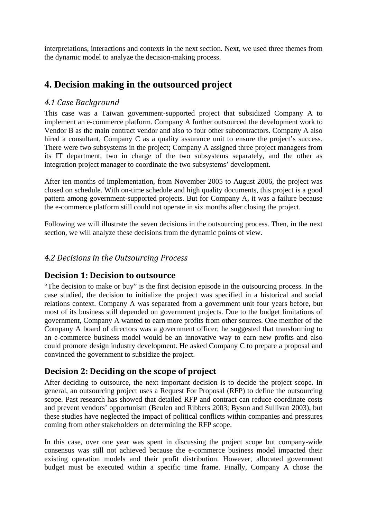interpretations, interactions and contexts in the next section. Next, we used three themes from the dynamic model to analyze the decision-making process.

#### **4. Decision making in the outsourced project**

#### *4.1 Case Background*

This case was a Taiwan government-supported project that subsidized Company A to implement an e-commerce platform. Company A further outsourced the development work to Vendor B as the main contract vendor and also to four other subcontractors. Company A also hired a consultant, Company C as a quality assurance unit to ensure the project's success. There were two subsystems in the project; Company A assigned three project managers from its IT department, two in charge of the two subsystems separately, and the other as integration project manager to coordinate the two subsystems' development.

After ten months of implementation, from November 2005 to August 2006, the project was closed on schedule. With on-time schedule and high quality documents, this project is a good pattern among government-supported projects. But for Company A, it was a failure because the e-commerce platform still could not operate in six months after closing the project.

Following we will illustrate the seven decisions in the outsourcing process. Then, in the next section, we will analyze these decisions from the dynamic points of view.

#### *4.2 Decisions in the Outsourcing Process*

#### **Decision 1: Decision to outsource**

"The decision to make or buy" is the first decision episode in the outsourcing process. In the case studied, the decision to initialize the project was specified in a historical and social relations context. Company A was separated from a government unit four years before, but most of its business still depended on government projects. Due to the budget limitations of government, Company A wanted to earn more profits from other sources. One member of the Company A board of directors was a government officer; he suggested that transforming to an e-commerce business model would be an innovative way to earn new profits and also could promote design industry development. He asked Company C to prepare a proposal and convinced the government to subsidize the project.

#### **Decision 2: Deciding on the scope of project**

After deciding to outsource, the next important decision is to decide the project scope. In general, an outsourcing project uses a Request For Proposal (RFP) to define the outsourcing scope. Past research has showed that detailed RFP and contract can reduce coordinate costs and prevent vendors' opportunism (Beulen and Ribbers 2003; Byson and Sullivan 2003), but these studies have neglected the impact of political conflicts within companies and pressures coming from other stakeholders on determining the RFP scope.

In this case, over one year was spent in discussing the project scope but company-wide consensus was still not achieved because the e-commerce business model impacted their existing operation models and their profit distribution. However, allocated government budget must be executed within a specific time frame. Finally, Company A chose the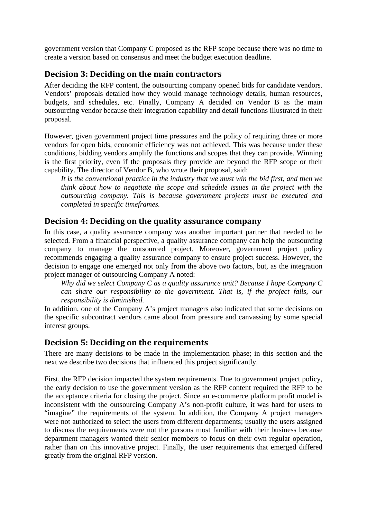government version that Company C proposed as the RFP scope because there was no time to create a version based on consensus and meet the budget execution deadline.

#### **Decision 3: Deciding on the main contractors**

After deciding the RFP content, the outsourcing company opened bids for candidate vendors. Vendors' proposals detailed how they would manage technology details, human resources, budgets, and schedules, etc. Finally, Company A decided on Vendor B as the main outsourcing vendor because their integration capability and detail functions illustrated in their proposal.

However, given government project time pressures and the policy of requiring three or more vendors for open bids, economic efficiency was not achieved. This was because under these conditions, bidding vendors amplify the functions and scopes that they can provide. Winning is the first priority, even if the proposals they provide are beyond the RFP scope or their capability. The director of Vendor B, who wrote their proposal, said:

*It is the conventional practice in the industry that we must win the bid first, and then we think about how to negotiate the scope and schedule issues in the project with the outsourcing company. This is because government projects must be executed and completed in specific timeframes.*

#### **Decision 4: Deciding on the quality assurance company**

In this case, a quality assurance company was another important partner that needed to be selected. From a financial perspective, a quality assurance company can help the outsourcing company to manage the outsourced project. Moreover, government project policy recommends engaging a quality assurance company to ensure project success. However, the decision to engage one emerged not only from the above two factors, but, as the integration project manager of outsourcing Company A noted:

*Why did we select Company C as a quality assurance unit? Because I hope Company C can share our responsibility to the government. That is, if the project fails, our responsibility is diminished.*

In addition, one of the Company A's project managers also indicated that some decisions on the specific subcontract vendors came about from pressure and canvassing by some special interest groups.

#### **Decision 5: Deciding on the requirements**

There are many decisions to be made in the implementation phase; in this section and the next we describe two decisions that influenced this project significantly.

First, the RFP decision impacted the system requirements. Due to government project policy, the early decision to use the government version as the RFP content required the RFP to be the acceptance criteria for closing the project. Since an e-commerce platform profit model is inconsistent with the outsourcing Company A's non-profit culture, it was hard for users to "imagine" the requirements of the system. In addition, the Company A project managers were not authorized to select the users from different departments; usually the users assigned to discuss the requirements were not the persons most familiar with their business because department managers wanted their senior members to focus on their own regular operation, rather than on this innovative project. Finally, the user requirements that emerged differed greatly from the original RFP version.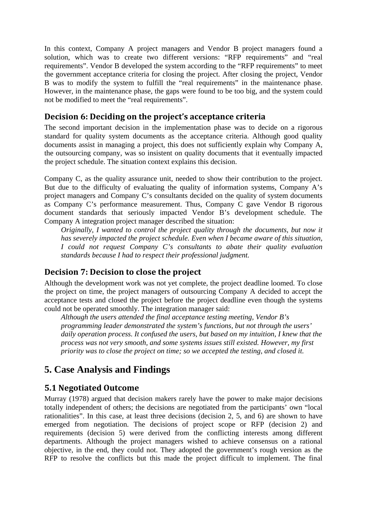In this context, Company A project managers and Vendor B project managers found a solution, which was to create two different versions: "RFP requirements" and "real requirements". Vendor B developed the system according to the "RFP requirements" to meet the government acceptance criteria for closing the project. After closing the project, Vendor B was to modify the system to fulfill the "real requirements" in the maintenance phase. However, in the maintenance phase, the gaps were found to be too big, and the system could not be modified to meet the "real requirements".

#### **Decision 6: Deciding on the project's acceptance criteria**

The second important decision in the implementation phase was to decide on a rigorous standard for quality system documents as the acceptance criteria. Although good quality documents assist in managing a project, this does not sufficiently explain why Company A, the outsourcing company, was so insistent on quality documents that it eventually impacted the project schedule. The situation context explains this decision.

Company C, as the quality assurance unit, needed to show their contribution to the project. But due to the difficulty of evaluating the quality of information systems, Company A's project managers and Company C's consultants decided on the quality of system documents as Company C's performance measurement. Thus, Company C gave Vendor B rigorous document standards that seriously impacted Vendor B's development schedule. The Company A integration project manager described the situation:

*Originally, I wanted to control the project quality through the documents, but now it has severely impacted the project schedule. Even when I became aware of this situation, I could not request Company C's consultants to abate their quality evaluation standards because I had to respect their professional judgment.*

#### **Decision 7: Decision to close the project**

Although the development work was not yet complete, the project deadline loomed. To close the project on time, the project managers of outsourcing Company A decided to accept the acceptance tests and closed the project before the project deadline even though the systems could not be operated smoothly. The integration manager said:

*Although the users attended the final acceptance testing meeting, Vendor B's programming leader demonstrated the system's functions, but not through the users' daily operation process. It confused the users, but based on my intuition, I knew that the process was not very smooth, and some systems issues still existed. However, my first priority was to close the project on time; so we accepted the testing, and closed it.* 

### **5. Case Analysis and Findings**

#### **5.1 Negotiated Outcome**

Murray (1978) argued that decision makers rarely have the power to make major decisions totally independent of others; the decisions are negotiated from the participants' own "local rationalities". In this case, at least three decisions (decision 2, 5, and 6) are shown to have emerged from negotiation. The decisions of project scope or RFP (decision 2) and requirements (decision 5) were derived from the conflicting interests among different departments. Although the project managers wished to achieve consensus on a rational objective, in the end, they could not. They adopted the government's rough version as the RFP to resolve the conflicts but this made the project difficult to implement. The final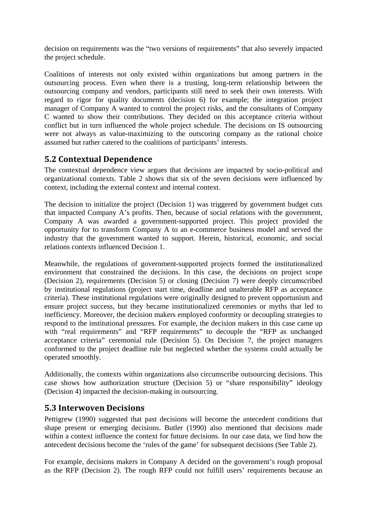decision on requirements was the "two versions of requirements" that also severely impacted the project schedule.

Coalitions of interests not only existed within organizations but among partners in the outsourcing process. Even when there is a trusting, long-term relationship between the outsourcing company and vendors, participants still need to seek their own interests. With regard to rigor for quality documents (decision 6) for example; the integration project manager of Company A wanted to control the project risks, and the consultants of Company C wanted to show their contributions. They decided on this acceptance criteria without conflict but in turn influenced the whole project schedule. The decisions on IS outsourcing were not always as value-maximizing to the outscoring company as the rational choice assumed but rather catered to the coalitions of participants' interests.

#### **5.2 Contextual Dependence**

The contextual dependence view argues that decisions are impacted by socio-political and organizational contexts. Table 2 shows that six of the seven decisions were influenced by context, including the external context and internal context.

The decision to initialize the project (Decision 1) was triggered by government budget cuts that impacted Company A's profits. Then, because of social relations with the government, Company A was awarded a government-supported project. This project provided the opportunity for to transform Company A to an e-commerce business model and served the industry that the government wanted to support. Herein, historical, economic, and social relations contexts influenced Decision 1.

Meanwhile, the regulations of government-supported projects formed the institutionalized environment that constrained the decisions. In this case, the decisions on project scope (Decision 2), requirements (Decision 5) or closing (Decision 7) were deeply circumscribed by institutional regulations (project start time, deadline and unalterable RFP as acceptance criteria). These institutional regulations were originally designed to prevent opportunism and ensure project success, but they became institutionalized ceremonies or myths that led to inefficiency. Moreover, the decision makers employed conformity or decoupling strategies to respond to the institutional pressures. For example, the decision makers in this case came up with "real requirements" and "RFP requirements" to decouple the "RFP as unchanged acceptance criteria" ceremonial rule (Decision 5). On Decision 7, the project managers conformed to the project deadline rule but neglected whether the systems could actually be operated smoothly.

Additionally, the contexts within organizations also circumscribe outsourcing decisions. This case shows how authorization structure (Decision 5) or "share responsibility" ideology (Decision 4) impacted the decision-making in outsourcing.

#### **5.3 Interwoven Decisions**

Pettigrew (1990) suggested that past decisions will become the antecedent conditions that shape present or emerging decisions. Butler (1990) also mentioned that decisions made within a context influence the context for future decisions. In our case data, we find how the antecedent decisions become the 'rules of the game' for subsequent decisions (See Table 2).

For example, decisions makers in Company A decided on the government's rough proposal as the RFP (Decision 2). The rough RFP could not fulfill users' requirements because an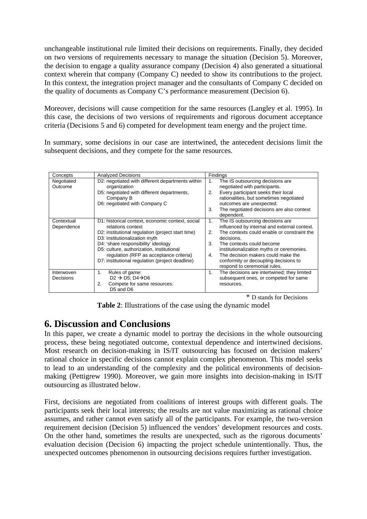unchangeable institutional rule limited their decisions on requirements. Finally, they decided on two versions of requirements necessary to manage the situation (Decision 5). Moreover, the decision to engage a quality assurance company (Decision 4) also generated a situational context wherein that company (Company C) needed to show its contributions to the project. In this context, the integration project manager and the consultants of Company C decided on the quality of documents as Company C's performance measurement (Decision 6).

Moreover, decisions will cause competition for the same resources (Langley et al. 1995). In this case, the decisions of two versions of requirements and rigorous document acceptance criteria (Decisions 5 and 6) competed for development team energy and the project time.

In summary, some decisions in our case are intertwined, the antecedent decisions limit the subsequent decisions, and they compete for the same resources.

| Concepts                    | <b>Analyzed Decisions</b>                         | Findings                                          |
|-----------------------------|---------------------------------------------------|---------------------------------------------------|
| Negotiated                  | D2: negotiated with different departments within  | The IS outsourcing decisions are<br>1.            |
| Outcome                     | organization                                      | negotiated with participants.                     |
|                             | D5: negotiated with different departments,        | Every participant seeks their local<br>2.         |
|                             | Company B                                         | rationalities, but sometimes negotiated           |
|                             | D6: negotiated with Company C                     | outcomes are unexpected.                          |
|                             |                                                   | The negotiated decisions are also context<br>3.   |
|                             |                                                   | dependent.                                        |
| Contextual                  | D1: historical context, economic context, social  | The IS outsourcing decisions are<br>1.            |
| Dependence                  | relations context                                 | influenced by internal and external context.      |
|                             | D2: institutional regulation (project start time) | The contexts could enable or constraint the<br>2. |
|                             | D3: institutionalization myth                     | decisions.                                        |
|                             | D4: 'share responsibility' ideology               | 3.<br>The contexts could become                   |
|                             | D5: culture, authorization, institutional         | institutionalization myths or ceremonies.         |
|                             | regulation (RFP as acceptance criteria)           | The decision makers could make the<br>4.          |
|                             | D7: institutional regulation (project deadline)   | conformity or decoupling decisions to             |
|                             |                                                   | respond to ceremonial rules.                      |
| Interwoven                  | Rules of game:<br>1.                              | The decisions are intertwined; they limited<br>1. |
| Decisions                   | $D2 \rightarrow D5$ ; D4 $\rightarrow$ D6         | subsequent ones, or competed for same             |
|                             | Compete for same resources:<br>2.                 | resources.                                        |
|                             | D5 and D6                                         |                                                   |
| ∗<br>D stands for Decisions |                                                   |                                                   |

**Table 2**: Illustrations of the case using the dynamic model

### **6. Discussion and Conclusions**

In this paper, we create a dynamic model to portray the decisions in the whole outsourcing process, these being negotiated outcome, contextual dependence and intertwined decisions. Most research on decision-making in IS/IT outsourcing has focused on decision makers' rational choice in specific decisions cannot explain complex phenomenon. This model seeks to lead to an understanding of the complexity and the political environments of decisionmaking (Pettigrew 1990). Moreover, we gain more insights into decision-making in IS/IT outsourcing as illustrated below.

First, decisions are negotiated from coalitions of interest groups with different goals. The participants seek their local interests; the results are not value maximizing as rational choice assumes, and rather cannot even satisfy all of the participants. For example, the two-version requirement decision (Decision 5) influenced the vendors' development resources and costs. On the other hand, sometimes the results are unexpected, such as the rigorous documents' evaluation decision (Decision 6) impacting the project schedule unintentionally. Thus, the unexpected outcomes phenomenon in outsourcing decisions requires further investigation.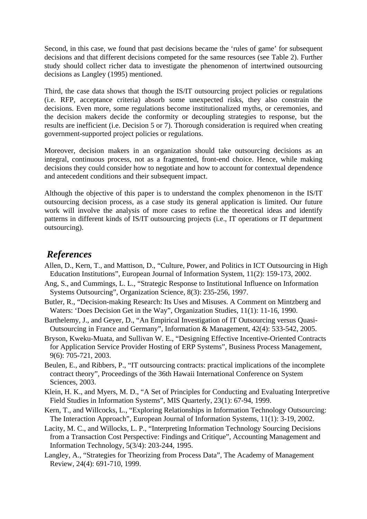Second, in this case, we found that past decisions became the 'rules of game' for subsequent decisions and that different decisions competed for the same resources (see Table 2). Further study should collect richer data to investigate the phenomenon of intertwined outsourcing decisions as Langley (1995) mentioned.

Third, the case data shows that though the IS/IT outsourcing project policies or regulations (i.e. RFP, acceptance criteria) absorb some unexpected risks, they also constrain the decisions. Even more, some regulations become institutionalized myths, or ceremonies, and the decision makers decide the conformity or decoupling strategies to response, but the results are inefficient (i.e. Decision 5 or 7). Thorough consideration is required when creating government-supported project policies or regulations.

Moreover, decision makers in an organization should take outsourcing decisions as an integral, continuous process, not as a fragmented, front-end choice. Hence, while making decisions they could consider how to negotiate and how to account for contextual dependence and antecedent conditions and their subsequent impact.

Although the objective of this paper is to understand the complex phenomenon in the IS/IT outsourcing decision process, as a case study its general application is limited. Our future work will involve the analysis of more cases to refine the theoretical ideas and identify patterns in different kinds of IS/IT outsourcing projects (i.e., IT operations or IT department outsourcing).

#### *References*

- Allen, D., Kern, T., and Mattison, D., "Culture, Power, and Politics in ICT Outsourcing in High Education Institutions", European Journal of Information System, 11(2): 159-173, 2002.
- Ang, S., and Cummings, L. L., "Strategic Response to Institutional Influence on Information Systems Outsourcing", Organization Science, 8(3): 235-256, 1997.
- Butler, R., "Decision-making Research: Its Uses and Misuses. A Comment on Mintzberg and Waters: 'Does Decision Get in the Way", Organization Studies, 11(1): 11-16, 1990.
- Barthelemy, J., and Geyer, D., "An Empirical Investigation of IT Outsourcing versus Quasi-Outsourcing in France and Germany", Information & Management, 42(4): 533-542, 2005.
- Bryson, Kweku-Muata, and Sullivan W. E., "Designing Effective Incentive-Oriented Contracts for Application Service Provider Hosting of ERP Systems", Business Process Management, 9(6): 705-721, 2003.
- Beulen, E., and Ribbers, P., "IT outsourcing contracts: practical implications of the incomplete contract theory", Proceedings of the 36th Hawaii International Conference on System Sciences, 2003.
- Klein, H. K., and Myers, M. D., "A Set of Principles for Conducting and Evaluating Interpretive Field Studies in Information Systems", MIS Quarterly, 23(1): 67-94, 1999.
- Kern, T., and Willcocks, L., "Exploring Relationships in Information Technology Outsourcing: The Interaction Approach", European Journal of Information Systems, 11(1): 3-19, 2002.
- Lacity, M. C., and Willocks, L. P., "Interpreting Information Technology Sourcing Decisions from a Transaction Cost Perspective: Findings and Critique", Accounting Management and Information Technology, 5(3/4): 203-244, 1995.
- Langley, A., "Strategies for Theorizing from Process Data", The Academy of Management Review, 24(4): 691-710, 1999.